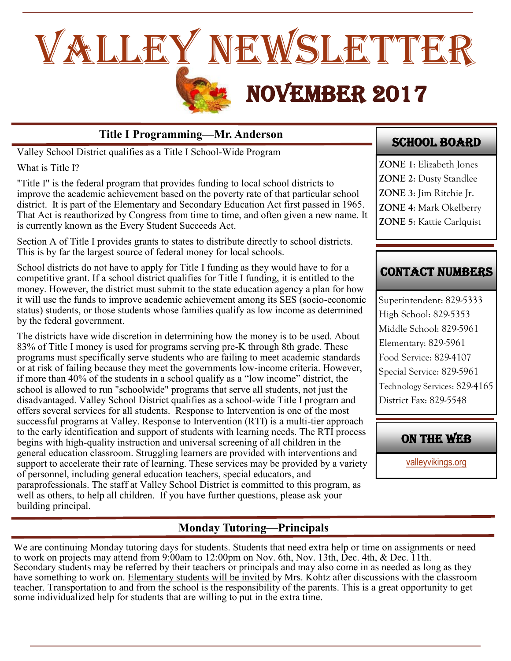

## **Title I Programming—Mr. Anderson**

Valley School District qualifies as a Title I School-Wide Program

What is Title I?

"Title I" is the federal program that provides funding to local school districts to improve the academic achievement based on the poverty rate of that particular school district. It is part of the Elementary and Secondary Education Act first passed in 1965. That Act is reauthorized by Congress from time to time, and often given a new name. It is currently known as the Every Student Succeeds Act.

Section A of Title I provides grants to states to distribute directly to school districts. This is by far the largest source of federal money for local schools.

School districts do not have to apply for Title I funding as they would have to for a competitive grant. If a school district qualifies for Title I funding, it is entitled to the money. However, the district must submit to the state education agency a plan for how it will use the funds to improve academic achievement among its SES (socio-economic status) students, or those students whose families qualify as low income as determined by the federal government.

The districts have wide discretion in determining how the money is to be used. About 83% of Title I money is used for programs serving pre-K through 8th grade. These programs must specifically serve students who are failing to meet academic standards or at risk of failing because they meet the governments low-income criteria. However, if more than 40% of the students in a school qualify as a "low income" district, the school is allowed to run "schoolwide" programs that serve all students, not just the disadvantaged. Valley School District qualifies as a school-wide Title I program and offers several services for all students. Response to Intervention is one of the most successful programs at Valley. Response to Intervention (RTI) is a multi-tier approach to the early identification and support of students with learning needs. The RTI process begins with high-quality instruction and universal screening of all children in the general education classroom. Struggling learners are provided with interventions and support to accelerate their rate of learning. These services may be provided by a variety of personnel, including general education teachers, special educators, and paraprofessionals. The staff at Valley School District is committed to this program, as well as others, to help all children. If you have further questions, please ask your building principal.

## SCHOOL BOARD

**ZONE 1**: Elizabeth Jones **ZONE 2**: Dusty Standlee **ZONE 3**: Jim Ritchie Jr. **ZONE 4**: Mark Okelberry **ZONE 5**: Kattie Carlquist

# CONTACT NUMBERS

Superintendent: 829-5333 High School: 829-5353 Middle School: 829-5961 Elementary: 829-5961 Food Service: 829-4107 Special Service: 829-5961 Technology Services: 829-4165 District Fax: 829-5548

## ON THE WEB

[valleyvikings.org](http://www.valleyvikings.org/)

## **Monday Tutoring—Principals**

We are continuing Monday tutoring days for students. Students that need extra help or time on assignments or need to work on projects may attend from 9:00am to 12:00pm on Nov. 6th, Nov. 13th, Dec. 4th, & Dec. 11th. Secondary students may be referred by their teachers or principals and may also come in as needed as long as they have something to work on. Elementary students will be invited by Mrs. Kohtz after discussions with the classroom teacher. Transportation to and from the school is the responsibility of the parents. This is a great opportunity to get some individualized help for students that are willing to put in the extra time.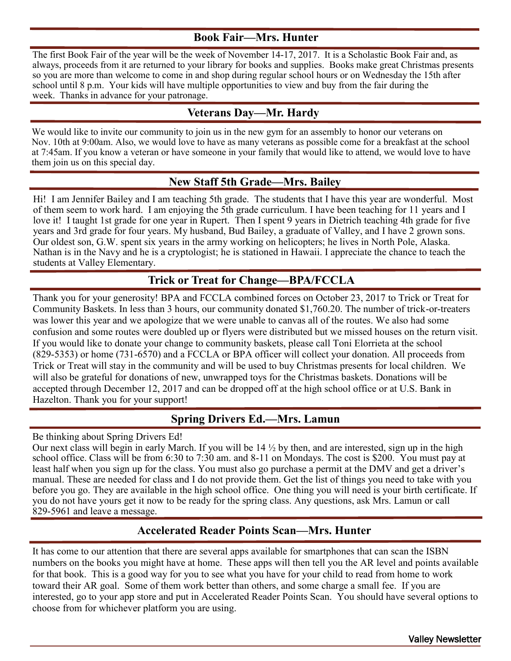### **Book Fair—Mrs. Hunter**

The first Book Fair of the year will be the week of November 14-17, 2017. It is a Scholastic Book Fair and, as always, proceeds from it are returned to your library for books and supplies. Books make great Christmas presents so you are more than welcome to come in and shop during regular school hours or on Wednesday the 15th after school until 8 p.m. Your kids will have multiple opportunities to view and buy from the fair during the week. Thanks in advance for your patronage.

#### **Veterans Day—Mr. Hardy**

We would like to invite our community to join us in the new gym for an assembly to honor our veterans on Nov. 10th at 9:00am. Also, we would love to have as many veterans as possible come for a breakfast at the school at 7:45am. If you know a veteran or have someone in your family that would like to attend, we would love to have them join us on this special day.

#### **New Staff 5th Grade—Mrs. Bailey**

Hi! I am Jennifer Bailey and I am teaching 5th grade. The students that I have this year are wonderful. Most of them seem to work hard. I am enjoying the 5th grade curriculum. I have been teaching for 11 years and I love it! I taught 1st grade for one year in Rupert. Then I spent 9 years in Dietrich teaching 4th grade for five years and 3rd grade for four years. My husband, Bud Bailey, a graduate of Valley, and I have 2 grown sons. Our oldest son, G.W. spent six years in the army working on helicopters; he lives in North Pole, Alaska. Nathan is in the Navy and he is a cryptologist; he is stationed in Hawaii. I appreciate the chance to teach the students at Valley Elementary.

### **Trick or Treat for Change—BPA/FCCLA**

Thank you for your generosity! BPA and FCCLA combined forces on October 23, 2017 to Trick or Treat for Community Baskets. In less than 3 hours, our community donated \$1,760.20. The number of trick-or-treaters was lower this year and we apologize that we were unable to canvas all of the routes. We also had some confusion and some routes were doubled up or flyers were distributed but we missed houses on the return visit. If you would like to donate your change to community baskets, please call Toni Elorrieta at the school (829-5353) or home (731-6570) and a FCCLA or BPA officer will collect your donation. All proceeds from Trick or Treat will stay in the community and will be used to buy Christmas presents for local children. We will also be grateful for donations of new, unwrapped toys for the Christmas baskets. Donations will be accepted through December 12, 2017 and can be dropped off at the high school office or at U.S. Bank in Hazelton. Thank you for your support!

### **Spring Drivers Ed.—Mrs. Lamun**

Be thinking about Spring Drivers Ed!

Our next class will begin in early March. If you will be 14 ½ by then, and are interested, sign up in the high school office. Class will be from 6:30 to 7:30 am. and 8-11 on Mondays. The cost is \$200. You must pay at least half when you sign up for the class. You must also go purchase a permit at the DMV and get a driver's manual. These are needed for class and I do not provide them. Get the list of things you need to take with you before you go. They are available in the high school office. One thing you will need is your birth certificate. If you do not have yours get it now to be ready for the spring class. Any questions, ask Mrs. Lamun or call 829-5961 and leave a message.

#### **Accelerated Reader Points Scan—Mrs. Hunter**

It has come to our attention that there are several apps available for smartphones that can scan the ISBN numbers on the books you might have at home. These apps will then tell you the AR level and points available for that book. This is a good way for you to see what you have for your child to read from home to work toward their AR goal. Some of them work better than others, and some charge a small fee. If you are interested, go to your app store and put in Accelerated Reader Points Scan. You should have several options to choose from for whichever platform you are using.